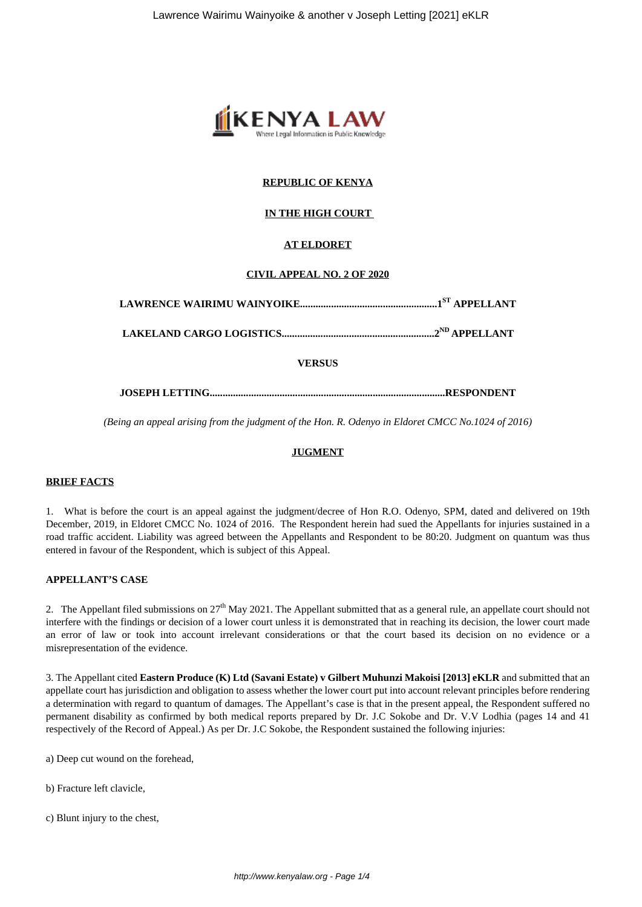

# **REPUBLIC OF KENYA**

## **IN THE HIGH COURT**

# **AT ELDORET**

## **CIVIL APPEAL NO. 2 OF 2020**

**LAWRENCE WAIRIMU WAINYOIKE.....................................................1ST APPELLANT**

**LAKELAND CARGO LOGISTICS...........................................................2ND APPELLANT**

## **VERSUS**

**JOSEPH LETTING...........................................................................................RESPONDENT**

*(Being an appeal arising from the judgment of the Hon. R. Odenyo in Eldoret CMCC No.1024 of 2016)*

# **JUGMENT**

# **BRIEF FACTS**

1. What is before the court is an appeal against the judgment/decree of Hon R.O. Odenyo, SPM, dated and delivered on 19th December, 2019, in Eldoret CMCC No. 1024 of 2016. The Respondent herein had sued the Appellants for injuries sustained in a road traffic accident. Liability was agreed between the Appellants and Respondent to be 80:20. Judgment on quantum was thus entered in favour of the Respondent, which is subject of this Appeal.

## **APPELLANT'S CASE**

2. The Appellant filed submissions on  $27<sup>th</sup>$  May 2021. The Appellant submitted that as a general rule, an appellate court should not interfere with the findings or decision of a lower court unless it is demonstrated that in reaching its decision, the lower court made an error of law or took into account irrelevant considerations or that the court based its decision on no evidence or a misrepresentation of the evidence.

3. The Appellant cited **Eastern Produce (K) Ltd (Savani Estate) v Gilbert Muhunzi Makoisi [2013] eKLR** and submitted that an appellate court has jurisdiction and obligation to assess whether the lower court put into account relevant principles before rendering a determination with regard to quantum of damages. The Appellant's case is that in the present appeal, the Respondent suffered no permanent disability as confirmed by both medical reports prepared by Dr. J.C Sokobe and Dr. V.V Lodhia (pages 14 and 41 respectively of the Record of Appeal.) As per Dr. J.C Sokobe, the Respondent sustained the following injuries:

a) Deep cut wound on the forehead,

- b) Fracture left clavicle,
- c) Blunt injury to the chest,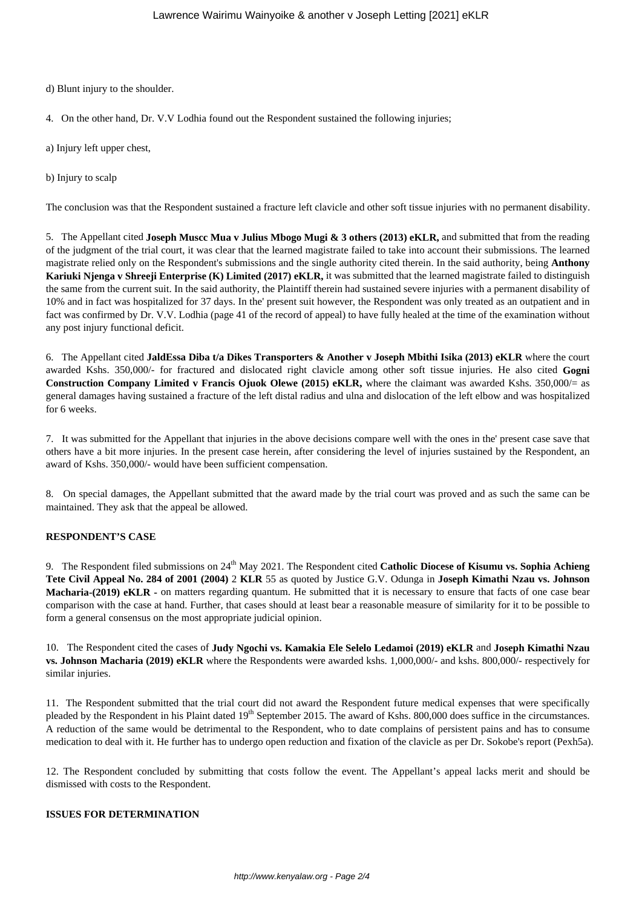d) Blunt injury to the shoulder.

- 4. On the other hand, Dr. V.V Lodhia found out the Respondent sustained the following injuries;
- a) Injury left upper chest,
- b) Injury to scalp

The conclusion was that the Respondent sustained a fracture left clavicle and other soft tissue injuries with no permanent disability.

5. The Appellant cited **Joseph Muscc Mua v Julius Mbogo Mugi & 3 others (2013) eKLR,** and submitted that from the reading of the judgment of the trial court, it was clear that the learned magistrate failed to take into account their submissions. The learned magistrate relied only on the Respondent's submissions and the single authority cited therein. In the said authority, being **Anthony Kariuki Njenga v Shreeji Enterprise (K) Limited (2017) eKLR,** it was submitted that the learned magistrate failed to distinguish the same from the current suit. In the said authority, the Plaintiff therein had sustained severe injuries with a permanent disability of 10% and in fact was hospitalized for 37 days. In the' present suit however, the Respondent was only treated as an outpatient and in fact was confirmed by Dr. V.V. Lodhia (page 41 of the record of appeal) to have fully healed at the time of the examination without any post injury functional deficit.

6. The Appellant cited **JaldEssa Diba t/a Dikes Transporters & Another v Joseph Mbithi Isika (2013) eKLR** where the court awarded Kshs. 350,000/- for fractured and dislocated right clavicle among other soft tissue injuries. He also cited **Gogni Construction Company Limited v Francis Ojuok Olewe (2015) eKLR,** where the claimant was awarded Kshs. 350,000/= as general damages having sustained a fracture of the left distal radius and ulna and dislocation of the left elbow and was hospitalized for 6 weeks.

7. It was submitted for the Appellant that injuries in the above decisions compare well with the ones in the' present case save that others have a bit more injuries. In the present case herein, after considering the level of injuries sustained by the Respondent, an award of Kshs. 350,000/- would have been sufficient compensation.

8. On special damages, the Appellant submitted that the award made by the trial court was proved and as such the same can be maintained. They ask that the appeal be allowed.

#### **RESPONDENT'S CASE**

9. The Respondent filed submissions on 24<sup>th</sup> May 2021. The Respondent cited **Catholic Diocese of Kisumu vs. Sophia Achieng Tete Civil Appeal No. 284 of 2001 (2004)** 2 **KLR** 55 as quoted by Justice G.V. Odunga in **Joseph Kimathi Nzau vs. Johnson Macharia-(2019) eKLR -** on matters regarding quantum. He submitted that it is necessary to ensure that facts of one case bear comparison with the case at hand. Further, that cases should at least bear a reasonable measure of similarity for it to be possible to form a general consensus on the most appropriate judicial opinion.

10. The Respondent cited the cases of **Judy Ngochi vs. Kamakia Ele Selelo Ledamoi (2019) eKLR** and **Joseph Kimathi Nzau vs. Johnson Macharia (2019) eKLR** where the Respondents were awarded kshs. 1,000,000/- and kshs. 800,000/- respectively for similar injuries.

11. The Respondent submitted that the trial court did not award the Respondent future medical expenses that were specifically pleaded by the Respondent in his Plaint dated  $19<sup>th</sup>$  September 2015. The award of Kshs. 800,000 does suffice in the circumstances. A reduction of the same would be detrimental to the Respondent, who to date complains of persistent pains and has to consume medication to deal with it. He further has to undergo open reduction and fixation of the clavicle as per Dr. Sokobe's report (Pexh5a).

12. The Respondent concluded by submitting that costs follow the event. The Appellant's appeal lacks merit and should be dismissed with costs to the Respondent.

### **ISSUES FOR DETERMINATION**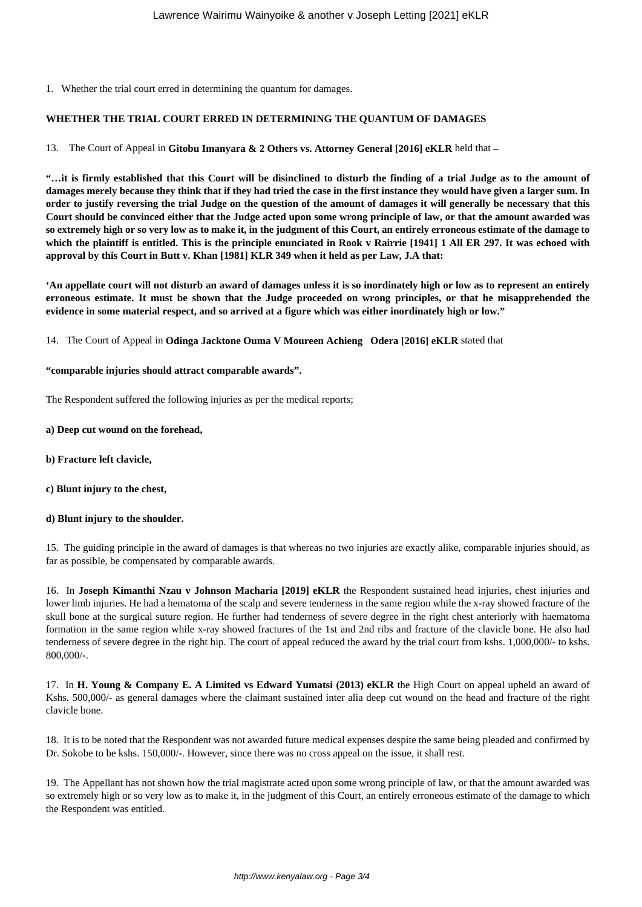1. Whether the trial court erred in determining the quantum for damages.

## **WHETHER THE TRIAL COURT ERRED IN DETERMINING THE QUANTUM OF DAMAGES**

13. The Court of Appeal in **Gitobu Imanyara & 2 Others vs. Attorney General [2016] eKLR** held that **–**

**"…it is firmly established that this Court will be disinclined to disturb the finding of a trial Judge as to the amount of damages merely because they think that if they had tried the case in the first instance they would have given a larger sum. In order to justify reversing the trial Judge on the question of the amount of damages it will generally be necessary that this Court should be convinced either that the Judge acted upon some wrong principle of law, or that the amount awarded was so extremely high or so very low as to make it, in the judgment of this Court, an entirely erroneous estimate of the damage to which the plaintiff is entitled. This is the principle enunciated in Rook v Rairrie [1941] 1 All ER 297. It was echoed with approval by this Court in Butt v. Khan [1981] KLR 349 when it held as per Law, J.A that:**

**'An appellate court will not disturb an award of damages unless it is so inordinately high or low as to represent an entirely erroneous estimate. It must be shown that the Judge proceeded on wrong principles, or that he misapprehended the evidence in some material respect, and so arrived at a figure which was either inordinately high or low."**

14. The Court of Appeal in **Odinga Jacktone Ouma V Moureen Achieng Odera [2016] eKLR** stated that

### **"comparable injuries should attract comparable awards".**

The Respondent suffered the following injuries as per the medical reports;

### **a) Deep cut wound on the forehead,**

- **b) Fracture left clavicle,**
- **c) Blunt injury to the chest,**
- **d) Blunt injury to the shoulder.**

15. The guiding principle in the award of damages is that whereas no two injuries are exactly alike, comparable injuries should, as far as possible, be compensated by comparable awards.

16. In **Joseph Kimanthi Nzau v Johnson Macharia [2019] eKLR** the Respondent sustained head injuries, chest injuries and lower limb injuries. He had a hematoma of the scalp and severe tenderness in the same region while the x-ray showed fracture of the skull bone at the surgical suture region. He further had tenderness of severe degree in the right chest anteriorly with haematoma formation in the same region while x-ray showed fractures of the 1st and 2nd ribs and fracture of the clavicle bone. He also had tenderness of severe degree in the right hip. The court of appeal reduced the award by the trial court from kshs. 1,000,000/- to kshs. 800,000/-.

17. In **H. Young & Company E. A Limited vs Edward Yumatsi (2013) eKLR** the High Court on appeal upheld an award of Kshs. 500,000/- as general damages where the claimant sustained inter alia deep cut wound on the head and fracture of the right clavicle bone.

18. It is to be noted that the Respondent was not awarded future medical expenses despite the same being pleaded and confirmed by Dr. Sokobe to be kshs. 150,000/-. However, since there was no cross appeal on the issue, it shall rest.

19. The Appellant has not shown how the trial magistrate acted upon some wrong principle of law, or that the amount awarded was so extremely high or so very low as to make it, in the judgment of this Court, an entirely erroneous estimate of the damage to which the Respondent was entitled.